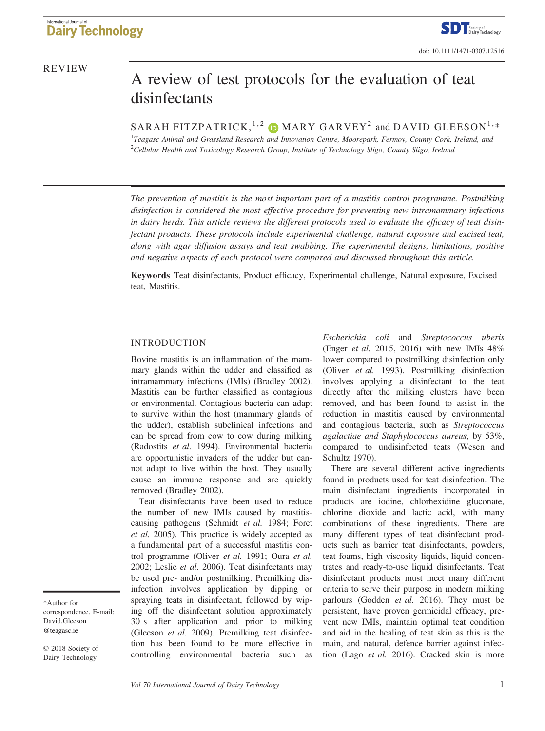# REVIEW

# A review of test protocols for the evaluation of teat disinfectants

SARAH FITZPATRICK,  $^{1,2}$  MARY GARVEY<sup>2</sup> and DAVID GLEESON<sup>1</sup><sup>+\*</sup>

<sup>1</sup>Teagasc Animal and Grassland Research and Innovation Centre, Moorepark, Fermoy, County Cork, Ireland, and  $^{2}$ Cellular Health and Toxicology Research Group, Institute of Technology Sligo, County Sligo, Ireland

The prevention of mastitis is the most important part of a mastitis control programme. Postmilking disinfection is considered the most effective procedure for preventing new intramammary infections in dairy herds. This article reviews the different protocols used to evaluate the efficacy of teat disinfectant products. These protocols include experimental challenge, natural exposure and excised teat, along with agar diffusion assays and teat swabbing. The experimental designs, limitations, positive and negative aspects of each protocol were compared and discussed throughout this article.

Keywords Teat disinfectants, Product efficacy, Experimental challenge, Natural exposure, Excised teat, Mastitis.

## INTRODUCTION

Bovine mastitis is an inflammation of the mammary glands within the udder and classified as intramammary infections (IMIs) (Bradley 2002). Mastitis can be further classified as contagious or environmental. Contagious bacteria can adapt to survive within the host (mammary glands of the udder), establish subclinical infections and can be spread from cow to cow during milking (Radostits et al. 1994). Environmental bacteria are opportunistic invaders of the udder but cannot adapt to live within the host. They usually cause an immune response and are quickly removed (Bradley 2002).

Teat disinfectants have been used to reduce the number of new IMIs caused by mastitiscausing pathogens (Schmidt et al. 1984; Foret et al. 2005). This practice is widely accepted as a fundamental part of a successful mastitis control programme (Oliver et al. 1991; Oura et al. 2002; Leslie et al. 2006). Teat disinfectants may be used pre- and/or postmilking. Premilking disinfection involves application by dipping or spraying teats in disinfectant, followed by wiping off the disinfectant solution approximately 30 s after application and prior to milking (Gleeson et al. 2009). Premilking teat disinfection has been found to be more effective in controlling environmental bacteria such as

Escherichia coli and Streptococcus uberis (Enger et al. 2015, 2016) with new IMIs 48% lower compared to postmilking disinfection only (Oliver et al. 1993). Postmilking disinfection involves applying a disinfectant to the teat directly after the milking clusters have been removed, and has been found to assist in the reduction in mastitis caused by environmental and contagious bacteria, such as Streptococcus agalactiae and Staphylococcus aureus, by 53%, compared to undisinfected teats (Wesen and Schultz 1970).

There are several different active ingredients found in products used for teat disinfection. The main disinfectant ingredients incorporated in products are iodine, chlorhexidine gluconate, chlorine dioxide and lactic acid, with many combinations of these ingredients. There are many different types of teat disinfectant products such as barrier teat disinfectants, powders, teat foams, high viscosity liquids, liquid concentrates and ready-to-use liquid disinfectants. Teat disinfectant products must meet many different criteria to serve their purpose in modern milking parlours (Godden et al. 2016). They must be persistent, have proven germicidal efficacy, prevent new IMIs, maintain optimal teat condition and aid in the healing of teat skin as this is the main, and natural, defence barrier against infection (Lago et al. 2016). Cracked skin is more

\*Author for correspondence. E-mail: David.Gleeson @teagasc.ie

© 2018 Society of Dairy Technology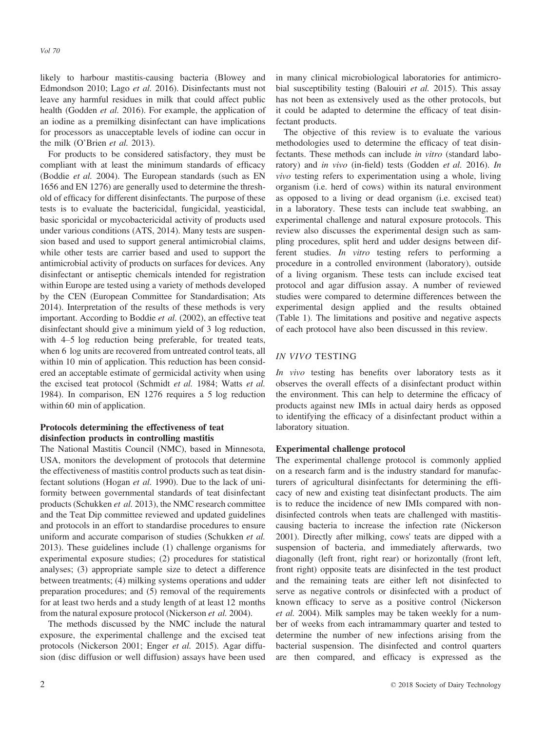likely to harbour mastitis-causing bacteria (Blowey and Edmondson 2010; Lago et al. 2016). Disinfectants must not leave any harmful residues in milk that could affect public health (Godden et al. 2016). For example, the application of an iodine as a premilking disinfectant can have implications for processors as unacceptable levels of iodine can occur in the milk (O'Brien et al. 2013).

For products to be considered satisfactory, they must be compliant with at least the minimum standards of efficacy (Boddie et al. 2004). The European standards (such as EN 1656 and EN 1276) are generally used to determine the threshold of efficacy for different disinfectants. The purpose of these tests is to evaluate the bactericidal, fungicidal, yeasticidal, basic sporicidal or mycobactericidal activity of products used under various conditions (ATS, 2014). Many tests are suspension based and used to support general antimicrobial claims, while other tests are carrier based and used to support the antimicrobial activity of products on surfaces for devices. Any disinfectant or antiseptic chemicals intended for registration within Europe are tested using a variety of methods developed by the CEN (European Committee for Standardisation; Ats 2014). Interpretation of the results of these methods is very important. According to Boddie et al. (2002), an effective teat disinfectant should give a minimum yield of 3 log reduction, with 4–5 log reduction being preferable, for treated teats, when 6 log units are recovered from untreated control teats, all within 10 min of application. This reduction has been considered an acceptable estimate of germicidal activity when using the excised teat protocol (Schmidt et al. 1984; Watts et al. 1984). In comparison, EN 1276 requires a 5 log reduction within 60 min of application.

# Protocols determining the effectiveness of teat disinfection products in controlling mastitis

The National Mastitis Council (NMC), based in Minnesota, USA, monitors the development of protocols that determine the effectiveness of mastitis control products such as teat disinfectant solutions (Hogan et al. 1990). Due to the lack of uniformity between governmental standards of teat disinfectant products (Schukken et al. 2013), the NMC research committee and the Teat Dip committee reviewed and updated guidelines and protocols in an effort to standardise procedures to ensure uniform and accurate comparison of studies (Schukken et al. 2013). These guidelines include (1) challenge organisms for experimental exposure studies; (2) procedures for statistical analyses; (3) appropriate sample size to detect a difference between treatments; (4) milking systems operations and udder preparation procedures; and (5) removal of the requirements for at least two herds and a study length of at least 12 months from the natural exposure protocol (Nickerson et al. 2004).

The methods discussed by the NMC include the natural exposure, the experimental challenge and the excised teat protocols (Nickerson 2001; Enger et al. 2015). Agar diffusion (disc diffusion or well diffusion) assays have been used in many clinical microbiological laboratories for antimicrobial susceptibility testing (Balouiri et al. 2015). This assay has not been as extensively used as the other protocols, but it could be adapted to determine the efficacy of teat disinfectant products.

The objective of this review is to evaluate the various methodologies used to determine the efficacy of teat disinfectants. These methods can include in vitro (standard laboratory) and in vivo (in-field) tests (Godden et al. 2016). In vivo testing refers to experimentation using a whole, living organism (i.e. herd of cows) within its natural environment as opposed to a living or dead organism (i.e. excised teat) in a laboratory. These tests can include teat swabbing, an experimental challenge and natural exposure protocols. This review also discusses the experimental design such as sampling procedures, split herd and udder designs between different studies. *In vitro* testing refers to performing a procedure in a controlled environment (laboratory), outside of a living organism. These tests can include excised teat protocol and agar diffusion assay. A number of reviewed studies were compared to determine differences between the experimental design applied and the results obtained (Table 1). The limitations and positive and negative aspects of each protocol have also been discussed in this review.

# IN VIVO TESTING

In vivo testing has benefits over laboratory tests as it observes the overall effects of a disinfectant product within the environment. This can help to determine the efficacy of products against new IMIs in actual dairy herds as opposed to identifying the efficacy of a disinfectant product within a laboratory situation.

# Experimental challenge protocol

The experimental challenge protocol is commonly applied on a research farm and is the industry standard for manufacturers of agricultural disinfectants for determining the efficacy of new and existing teat disinfectant products. The aim is to reduce the incidence of new IMIs compared with nondisinfected controls when teats are challenged with mastitiscausing bacteria to increase the infection rate (Nickerson 2001). Directly after milking, cows' teats are dipped with a suspension of bacteria, and immediately afterwards, two diagonally (left front, right rear) or horizontally (front left, front right) opposite teats are disinfected in the test product and the remaining teats are either left not disinfected to serve as negative controls or disinfected with a product of known efficacy to serve as a positive control (Nickerson et al. 2004). Milk samples may be taken weekly for a number of weeks from each intramammary quarter and tested to determine the number of new infections arising from the bacterial suspension. The disinfected and control quarters are then compared, and efficacy is expressed as the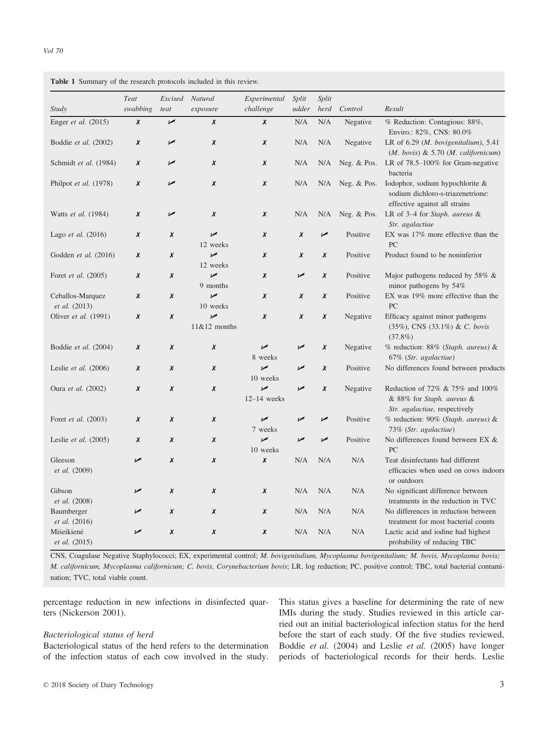| <b>Study</b>                             | Teat<br>swabbing | teat             | Excised Natural<br>exposure                | Experimental<br>challenge | Split<br>udder        | Split<br>herd | Control       | Result                                                                                                     |
|------------------------------------------|------------------|------------------|--------------------------------------------|---------------------------|-----------------------|---------------|---------------|------------------------------------------------------------------------------------------------------------|
| Enger et al. $(2015)$                    | $\pmb{\chi}$     | V                | x                                          | $\pmb{\chi}$              | N/A                   | N/A           | Negative      | % Reduction: Contagious: 88%,<br>Enviro.: 82%, CNS: 80.0%                                                  |
| Boddie et al. (2002)                     | $\boldsymbol{x}$ | ↙                | $\pmb{\chi}$                               | $\pmb{\chi}$              | N/A                   | N/A           | Negative      | LR of $6.29$ ( <i>M. bovigenitalium</i> ), $5.41$<br>$(M. \text{ bovis}) \& 5.70 (M. \text{californicum})$ |
| Schmidt et al. (1984)                    | $\chi$           | مما              | X                                          | $\pmb{\chi}$              | N/A                   | N/A           | Neg. & Pos.   | LR of $78.5-100\%$ for Gram-negative<br>bacteria                                                           |
| Philpot et al. (1978)                    | $\boldsymbol{x}$ | مما              | X                                          | $\pmb{\chi}$              | N/A                   | N/A           | Neg. & Pos.   | Iodophor, sodium hypochlorite &<br>sodium dichloro-s-triazenetrione:<br>effective against all strains      |
| Watts et al. (1984)                      | $\boldsymbol{x}$ | ✔                | X                                          | $\boldsymbol{x}$          | N/A                   | N/A           | Neg. $& Pos.$ | LR of $3-4$ for <i>Staph</i> . <i>aureus</i> &<br>Str. agalactiae                                          |
| Lago et al. $(2016)$                     | $\boldsymbol{x}$ | $\pmb{\chi}$     | $\overline{\phantom{a}}$<br>12 weeks       | $\pmb{\chi}$              | $\pmb{\chi}$          | ↙             | Positive      | EX was $17\%$ more effective than the<br>PC                                                                |
| Godden et al. (2016)                     | $\chi$           | $\pmb{\chi}$     | $\overline{\phantom{a}}$<br>12 weeks       | $\pmb{\chi}$              | $\pmb{\chi}$          | $\pmb{\chi}$  | Positive      | Product found to be noninferior                                                                            |
| Foret et al. (2005)                      | $\boldsymbol{x}$ | X                | $\sqrt{2}$<br>9 months                     | $\chi$                    | $\blacktriangleright$ | $\pmb{\chi}$  | Positive      | Major pathogens reduced by 58% $\&$<br>minor pathogens by $54\%$                                           |
| Ceballos-Marquez<br><i>et al.</i> (2013) | $\boldsymbol{x}$ | $\boldsymbol{x}$ | $\overline{\phantom{a}}$<br>10 weeks       | $\pmb{\chi}$              | $\pmb{\chi}$          | $\pmb{\chi}$  | Positive      | EX was 19% more effective than the<br>PC                                                                   |
| Oliver et al. (1991)                     | $\boldsymbol{x}$ | $\pmb{\chi}$     | $\overline{\phantom{a}}$<br>$11&12$ months | $\pmb{\chi}$              | $\pmb{\chi}$          | $\pmb{\chi}$  | Negative      | Efficacy against minor pathogens<br>(35%), CNS (33.1%) & C. bovis<br>$(37.8\%)$                            |
| Boddie et al. (2004)                     | X                | X                | X                                          | $\sqrt{ }$<br>8 weeks     | V                     | $\pmb{\chi}$  | Negative      | % reduction: 88% (Staph. aureus) &<br>67% (Str. agalactiae)                                                |
| Leslie et al. $(2006)$                   | $\boldsymbol{x}$ | $\boldsymbol{x}$ | X                                          | $\sqrt{ }$<br>10 weeks    | مما                   | $\pmb{\chi}$  | Positive      | No differences found between products                                                                      |
| Oura et al. (2002)                       | $\boldsymbol{x}$ | $\pmb{\chi}$     | X                                          | V<br>$12-14$ weeks        | مما                   | $\pmb{\chi}$  | Negative      | Reduction of 72% & 75% and 100%<br>& 88% for Staph. aureus &<br>Str. agalactiae, respectively              |
| Foret et al. (2003)                      | X                | $\boldsymbol{x}$ | X                                          | $\sqrt{ }$<br>7 weeks     |                       | مما           | Positive      | % reduction: 90% (Staph. aureus) &<br>73% (Str. agalactiae)                                                |
| Leslie et al. $(2005)$                   | $\boldsymbol{x}$ | $\boldsymbol{x}$ | x                                          | $\sqrt{2}$<br>10 weeks    |                       | مما           | Positive      | No differences found between EX &<br>PC                                                                    |
| Gleeson<br>et al. (2009)                 | ↙                | $\boldsymbol{x}$ | x                                          | $\pmb{\chi}$              | N/A                   | N/A           | N/A           | Teat disinfectants had different<br>efficacies when used on cows indoors<br>or outdoors                    |
| Gibson<br>et al. (2008)                  | مما              | $\boldsymbol{x}$ | x                                          | $\pmb{\chi}$              | N/A                   | N/A           | N/A           | No significant difference between<br>treatments in the reduction in TVC                                    |
| Baumberger<br>et al. (2016)              |                  | $\boldsymbol{x}$ | X                                          | $\pmb{\chi}$              | N/A                   | N/A           | N/A           | No differences in reduction between<br>treatment for most bacterial counts                                 |
| Mišeikienė<br><i>et al.</i> (2015)       |                  | $\pmb{\chi}$     | X                                          | $\pmb{\chi}$              | N/A                   | N/A           | N/A           | Lactic acid and iodine had highest<br>probability of reducing TBC                                          |

Table 1 Summary of the research protocols included in this review.

CNS, Coagulase Negative Staphylococci; EX, experimental control; M. bovigenitalium, Mycoplasma bovigenitalium; M. bovis, Mycoplasma bovis; M. californicum, Mycoplasma californicum; C. bovis, Corynebacterium bovis; LR, log reduction; PC, positive control; TBC, total bacterial contamination; TVC, total viable count.

percentage reduction in new infections in disinfected quarters (Nickerson 2001).

## Bacteriological status of herd

Bacteriological status of the herd refers to the determination of the infection status of each cow involved in the study. This status gives a baseline for determining the rate of new IMIs during the study. Studies reviewed in this article carried out an initial bacteriological infection status for the herd before the start of each study. Of the five studies reviewed, Boddie et al. (2004) and Leslie et al. (2005) have longer periods of bacteriological records for their herds. Leslie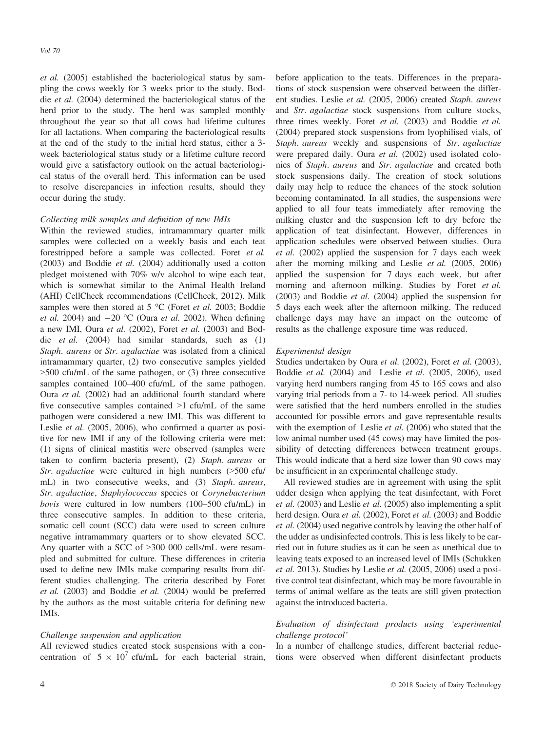et al. (2005) established the bacteriological status by sampling the cows weekly for 3 weeks prior to the study. Boddie et al. (2004) determined the bacteriological status of the herd prior to the study. The herd was sampled monthly throughout the year so that all cows had lifetime cultures for all lactations. When comparing the bacteriological results at the end of the study to the initial herd status, either a 3 week bacteriological status study or a lifetime culture record would give a satisfactory outlook on the actual bacteriological status of the overall herd. This information can be used to resolve discrepancies in infection results, should they occur during the study.

## Collecting milk samples and definition of new IMIs

Within the reviewed studies, intramammary quarter milk samples were collected on a weekly basis and each teat forestripped before a sample was collected. Foret et al. (2003) and Boddie et al. (2004) additionally used a cotton pledget moistened with 70% w/v alcohol to wipe each teat, which is somewhat similar to the Animal Health Ireland (AHI) CellCheck recommendations (CellCheck, 2012). Milk samples were then stored at 5 °C (Foret *et al.* 2003; Boddie et al. 2004) and  $-20$  °C (Oura et al. 2002). When defining a new IMI, Oura et al. (2002), Foret et al. (2003) and Boddie *et al.* (2004) had similar standards, such as  $(1)$ Staph. aureus or Str. agalactiae was isolated from a clinical intramammary quarter, (2) two consecutive samples yielded >500 cfu/mL of the same pathogen, or (3) three consecutive samples contained 100–400 cfu/mL of the same pathogen. Oura et al. (2002) had an additional fourth standard where five consecutive samples contained >1 cfu/mL of the same pathogen were considered a new IMI. This was different to Leslie et al. (2005, 2006), who confirmed a quarter as positive for new IMI if any of the following criteria were met: (1) signs of clinical mastitis were observed (samples were taken to confirm bacteria present), (2) Staph. aureus or Str. agalactiae were cultured in high numbers (>500 cfu/ mL) in two consecutive weeks, and (3) Staph. aureus, Str. agalactiae, Staphylococcus species or Corynebacterium bovis were cultured in low numbers (100–500 cfu/mL) in three consecutive samples. In addition to these criteria, somatic cell count (SCC) data were used to screen culture negative intramammary quarters or to show elevated SCC. Any quarter with a SCC of >300 000 cells/mL were resampled and submitted for culture. These differences in criteria used to define new IMIs make comparing results from different studies challenging. The criteria described by Foret et al. (2003) and Boddie et al. (2004) would be preferred by the authors as the most suitable criteria for defining new IMIs.

#### Challenge suspension and application

All reviewed studies created stock suspensions with a concentration of  $5 \times 10^7$  cfu/mL for each bacterial strain, before application to the teats. Differences in the preparations of stock suspension were observed between the different studies. Leslie et al. (2005, 2006) created Staph. aureus and Str. agalactiae stock suspensions from culture stocks, three times weekly. Foret *et al.* (2003) and Boddie *et al.* (2004) prepared stock suspensions from lyophilised vials, of Staph. aureus weekly and suspensions of Str. agalactiae were prepared daily. Oura et al. (2002) used isolated colonies of Staph. aureus and Str. agalactiae and created both stock suspensions daily. The creation of stock solutions daily may help to reduce the chances of the stock solution becoming contaminated. In all studies, the suspensions were applied to all four teats immediately after removing the milking cluster and the suspension left to dry before the application of teat disinfectant. However, differences in application schedules were observed between studies. Oura et al. (2002) applied the suspension for 7 days each week after the morning milking and Leslie et al. (2005, 2006) applied the suspension for 7 days each week, but after morning and afternoon milking. Studies by Foret et al. (2003) and Boddie et al. (2004) applied the suspension for 5 days each week after the afternoon milking. The reduced challenge days may have an impact on the outcome of results as the challenge exposure time was reduced.

#### Experimental design

Studies undertaken by Oura et al. (2002), Foret et al. (2003), Boddie et al. (2004) and Leslie et al. (2005, 2006), used varying herd numbers ranging from 45 to 165 cows and also varying trial periods from a 7- to 14-week period. All studies were satisfied that the herd numbers enrolled in the studies accounted for possible errors and gave representable results with the exemption of Leslie et al. (2006) who stated that the low animal number used (45 cows) may have limited the possibility of detecting differences between treatment groups. This would indicate that a herd size lower than 90 cows may be insufficient in an experimental challenge study.

All reviewed studies are in agreement with using the split udder design when applying the teat disinfectant, with Foret et al. (2003) and Leslie et al. (2005) also implementing a split herd design. Oura et al. (2002), Foret et al. (2003) and Boddie et al. (2004) used negative controls by leaving the other half of the udder as undisinfected controls. This is less likely to be carried out in future studies as it can be seen as unethical due to leaving teats exposed to an increased level of IMIs (Schukken et al. 2013). Studies by Leslie et al. (2005, 2006) used a positive control teat disinfectant, which may be more favourable in terms of animal welfare as the teats are still given protection against the introduced bacteria.

# Evaluation of disinfectant products using 'experimental challenge protocol'

In a number of challenge studies, different bacterial reductions were observed when different disinfectant products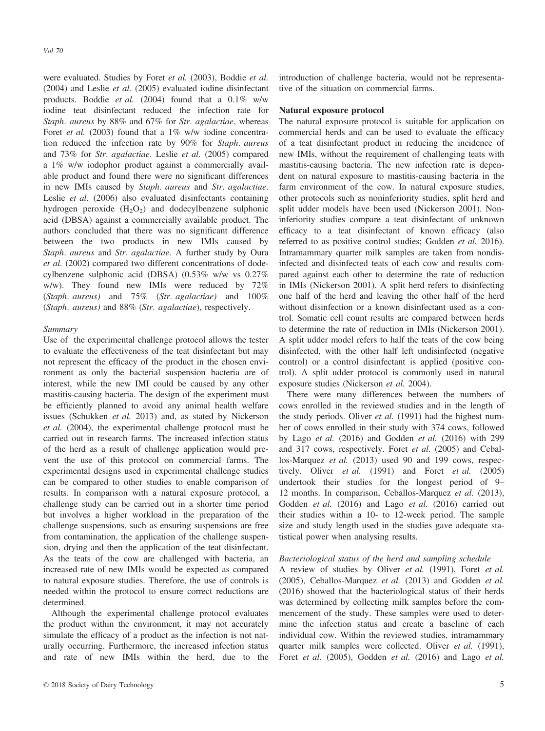were evaluated. Studies by Foret et al. (2003), Boddie et al. (2004) and Leslie et al. (2005) evaluated iodine disinfectant products. Boddie et al. (2004) found that a 0.1% w/w iodine teat disinfectant reduced the infection rate for Staph. aureus by 88% and 67% for Str. agalactiae, whereas Foret et al. (2003) found that a 1% w/w iodine concentration reduced the infection rate by 90% for Staph. aureus and 73% for Str. agalactiae. Leslie et al. (2005) compared a 1% w/w iodophor product against a commercially available product and found there were no significant differences in new IMIs caused by Staph. aureus and Str. agalactiae. Leslie et al. (2006) also evaluated disinfectants containing hydrogen peroxide  $(H_2O_2)$  and dodecylbenzene sulphonic acid (DBSA) against a commercially available product. The authors concluded that there was no significant difference between the two products in new IMIs caused by Staph. aureus and Str. agalactiae. A further study by Oura et al. (2002) compared two different concentrations of dodecylbenzene sulphonic acid (DBSA) (0.53% w/w vs 0.27% w/w). They found new IMIs were reduced by 72% (Staph. aureus) and 75% (Str. agalactiae) and 100% (Staph. aureus) and 88% (Str. agalactiae), respectively.

## Summary

Use of the experimental challenge protocol allows the tester to evaluate the effectiveness of the teat disinfectant but may not represent the efficacy of the product in the chosen environment as only the bacterial suspension bacteria are of interest, while the new IMI could be caused by any other mastitis-causing bacteria. The design of the experiment must be efficiently planned to avoid any animal health welfare issues (Schukken et al. 2013) and, as stated by Nickerson et al. (2004), the experimental challenge protocol must be carried out in research farms. The increased infection status of the herd as a result of challenge application would prevent the use of this protocol on commercial farms. The experimental designs used in experimental challenge studies can be compared to other studies to enable comparison of results. In comparison with a natural exposure protocol, a challenge study can be carried out in a shorter time period but involves a higher workload in the preparation of the challenge suspensions, such as ensuring suspensions are free from contamination, the application of the challenge suspension, drying and then the application of the teat disinfectant. As the teats of the cow are challenged with bacteria, an increased rate of new IMIs would be expected as compared to natural exposure studies. Therefore, the use of controls is needed within the protocol to ensure correct reductions are determined.

Although the experimental challenge protocol evaluates the product within the environment, it may not accurately simulate the efficacy of a product as the infection is not naturally occurring. Furthermore, the increased infection status and rate of new IMIs within the herd, due to the introduction of challenge bacteria, would not be representative of the situation on commercial farms.

# Natural exposure protocol

The natural exposure protocol is suitable for application on commercial herds and can be used to evaluate the efficacy of a teat disinfectant product in reducing the incidence of new IMIs, without the requirement of challenging teats with mastitis-causing bacteria. The new infection rate is dependent on natural exposure to mastitis-causing bacteria in the farm environment of the cow. In natural exposure studies, other protocols such as noninferiority studies, split herd and split udder models have been used (Nickerson 2001). Noninferiority studies compare a teat disinfectant of unknown efficacy to a teat disinfectant of known efficacy (also referred to as positive control studies; Godden et al. 2016). Intramammary quarter milk samples are taken from nondisinfected and disinfected teats of each cow and results compared against each other to determine the rate of reduction in IMIs (Nickerson 2001). A split herd refers to disinfecting one half of the herd and leaving the other half of the herd without disinfection or a known disinfectant used as a control. Somatic cell count results are compared between herds to determine the rate of reduction in IMIs (Nickerson 2001). A split udder model refers to half the teats of the cow being disinfected, with the other half left undisinfected (negative control) or a control disinfectant is applied (positive control). A split udder protocol is commonly used in natural exposure studies (Nickerson et al. 2004).

There were many differences between the numbers of cows enrolled in the reviewed studies and in the length of the study periods. Oliver et al. (1991) had the highest number of cows enrolled in their study with 374 cows, followed by Lago et al. (2016) and Godden et al. (2016) with 299 and 317 cows, respectively. Foret et al. (2005) and Ceballos-Marquez *et al.* (2013) used 90 and 199 cows, respectively. Oliver et al. (1991) and Foret et al. (2005) undertook their studies for the longest period of 9– 12 months. In comparison, Ceballos-Marquez et al. (2013), Godden *et al.* (2016) and Lago *et al.* (2016) carried out their studies within a 10- to 12-week period. The sample size and study length used in the studies gave adequate statistical power when analysing results.

#### Bacteriological status of the herd and sampling schedule

A review of studies by Oliver et al. (1991), Foret et al. (2005), Ceballos-Marquez et al. (2013) and Godden et al. (2016) showed that the bacteriological status of their herds was determined by collecting milk samples before the commencement of the study. These samples were used to determine the infection status and create a baseline of each individual cow. Within the reviewed studies, intramammary quarter milk samples were collected. Oliver et al. (1991), Foret et al. (2005), Godden et al. (2016) and Lago et al.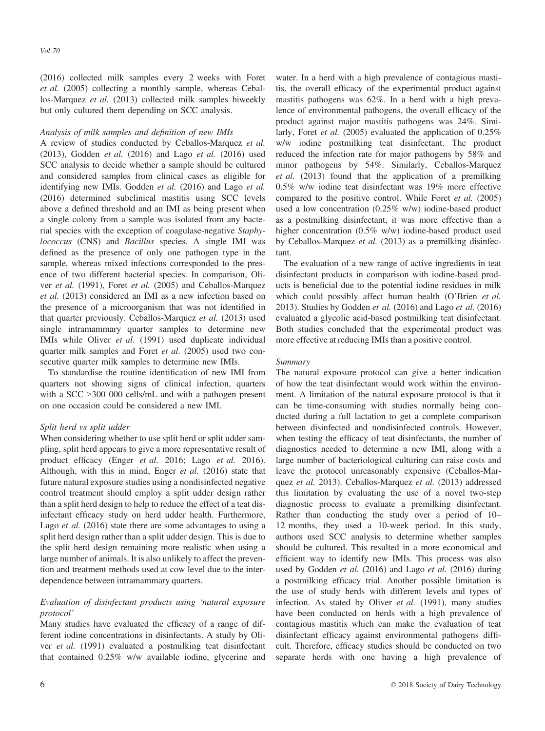(2016) collected milk samples every 2 weeks with Foret et al. (2005) collecting a monthly sample, whereas Ceballos-Marquez et al. (2013) collected milk samples biweekly but only cultured them depending on SCC analysis.

# Analysis of milk samples and definition of new IMIs

A review of studies conducted by Ceballos-Marquez et al. (2013), Godden *et al.* (2016) and Lago *et al.* (2016) used SCC analysis to decide whether a sample should be cultured and considered samples from clinical cases as eligible for identifying new IMIs. Godden et al. (2016) and Lago et al. (2016) determined subclinical mastitis using SCC levels above a defined threshold and an IMI as being present when a single colony from a sample was isolated from any bacterial species with the exception of coagulase-negative Staphylococcus (CNS) and Bacillus species. A single IMI was defined as the presence of only one pathogen type in the sample, whereas mixed infections corresponded to the presence of two different bacterial species. In comparison, Oliver et al. (1991), Foret et al. (2005) and Ceballos-Marquez et al. (2013) considered an IMI as a new infection based on the presence of a microorganism that was not identified in that quarter previously. Ceballos-Marquez et al. (2013) used single intramammary quarter samples to determine new IMIs while Oliver et al. (1991) used duplicate individual quarter milk samples and Foret et al. (2005) used two consecutive quarter milk samples to determine new IMIs.

To standardise the routine identification of new IMI from quarters not showing signs of clinical infection, quarters with a SCC  $>300$  000 cells/mL and with a pathogen present on one occasion could be considered a new IMI.

## Split herd vs split udder

When considering whether to use split herd or split udder sampling, split herd appears to give a more representative result of product efficacy (Enger et al. 2016; Lago et al. 2016). Although, with this in mind, Enger et al. (2016) state that future natural exposure studies using a nondisinfected negative control treatment should employ a split udder design rather than a split herd design to help to reduce the effect of a teat disinfectant efficacy study on herd udder health. Furthermore, Lago *et al.* (2016) state there are some advantages to using a split herd design rather than a split udder design. This is due to the split herd design remaining more realistic when using a large number of animals. It is also unlikely to affect the prevention and treatment methods used at cow level due to the interdependence between intramammary quarters.

# Evaluation of disinfectant products using 'natural exposure protocol'

Many studies have evaluated the efficacy of a range of different iodine concentrations in disinfectants. A study by Oliver et al. (1991) evaluated a postmilking teat disinfectant that contained 0.25% w/w available iodine, glycerine and

water. In a herd with a high prevalence of contagious mastitis, the overall efficacy of the experimental product against mastitis pathogens was 62%. In a herd with a high prevalence of environmental pathogens, the overall efficacy of the product against major mastitis pathogens was 24%. Similarly, Foret *et al.* (2005) evaluated the application of  $0.25\%$ w/w iodine postmilking teat disinfectant. The product reduced the infection rate for major pathogens by 58% and minor pathogens by 54%. Similarly, Ceballos-Marquez et al. (2013) found that the application of a premilking 0.5% w/w iodine teat disinfectant was 19% more effective compared to the positive control. While Foret et al. (2005) used a low concentration (0.25% w/w) iodine-based product as a postmilking disinfectant, it was more effective than a higher concentration (0.5% w/w) iodine-based product used by Ceballos-Marquez et al. (2013) as a premilking disinfectant.

The evaluation of a new range of active ingredients in teat disinfectant products in comparison with iodine-based products is beneficial due to the potential iodine residues in milk which could possibly affect human health (O'Brien et al. 2013). Studies by Godden *et al.*  $(2016)$  and Lago *et al.*  $(2016)$ evaluated a glycolic acid-based postmilking teat disinfectant. Both studies concluded that the experimental product was more effective at reducing IMIs than a positive control.

#### Summary

The natural exposure protocol can give a better indication of how the teat disinfectant would work within the environment. A limitation of the natural exposure protocol is that it can be time-consuming with studies normally being conducted during a full lactation to get a complete comparison between disinfected and nondisinfected controls. However, when testing the efficacy of teat disinfectants, the number of diagnostics needed to determine a new IMI, along with a large number of bacteriological culturing can raise costs and leave the protocol unreasonably expensive (Ceballos-Marquez et al. 2013). Ceballos-Marquez et al. (2013) addressed this limitation by evaluating the use of a novel two-step diagnostic process to evaluate a premilking disinfectant. Rather than conducting the study over a period of 10– 12 months, they used a 10-week period. In this study, authors used SCC analysis to determine whether samples should be cultured. This resulted in a more economical and efficient way to identify new IMIs. This process was also used by Godden *et al.* (2016) and Lago *et al.* (2016) during a postmilking efficacy trial. Another possible limitation is the use of study herds with different levels and types of infection. As stated by Oliver et al. (1991), many studies have been conducted on herds with a high prevalence of contagious mastitis which can make the evaluation of teat disinfectant efficacy against environmental pathogens difficult. Therefore, efficacy studies should be conducted on two separate herds with one having a high prevalence of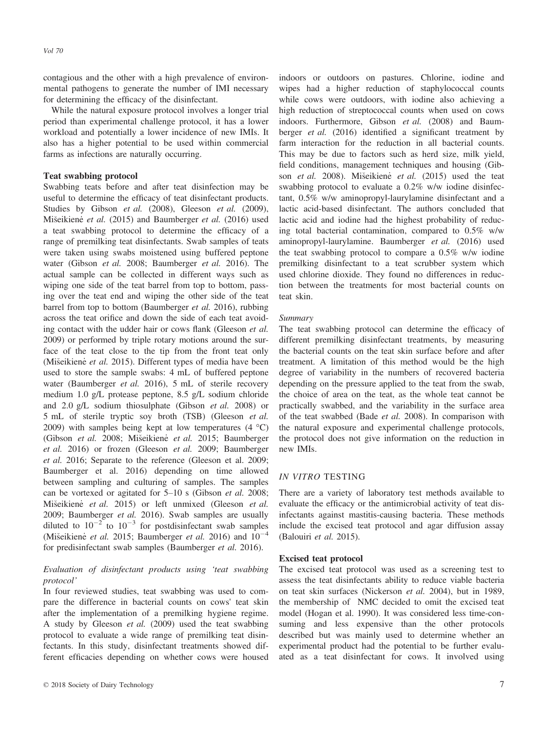contagious and the other with a high prevalence of environmental pathogens to generate the number of IMI necessary for determining the efficacy of the disinfectant.

While the natural exposure protocol involves a longer trial period than experimental challenge protocol, it has a lower workload and potentially a lower incidence of new IMIs. It also has a higher potential to be used within commercial farms as infections are naturally occurring.

## Teat swabbing protocol

Swabbing teats before and after teat disinfection may be useful to determine the efficacy of teat disinfectant products. Studies by Gibson et al. (2008), Gleeson et al. (2009), Mišeikienė et al. (2015) and Baumberger et al. (2016) used a teat swabbing protocol to determine the efficacy of a range of premilking teat disinfectants. Swab samples of teats were taken using swabs moistened using buffered peptone water (Gibson et al. 2008; Baumberger et al. 2016). The actual sample can be collected in different ways such as wiping one side of the teat barrel from top to bottom, passing over the teat end and wiping the other side of the teat barrel from top to bottom (Baumberger et al. 2016), rubbing across the teat orifice and down the side of each teat avoiding contact with the udder hair or cows flank (Gleeson et al. 2009) or performed by triple rotary motions around the surface of the teat close to the tip from the front teat only (Mišeikiene et al. 2015). Different types of media have been used to store the sample swabs: 4 mL of buffered peptone water (Baumberger *et al.* 2016), 5 mL of sterile recovery medium 1.0 g/L protease peptone, 8.5 g/L sodium chloride and 2.0 g/L sodium thiosulphate (Gibson et al. 2008) or 5 mL of sterile tryptic soy broth (TSB) (Gleeson et al. 2009) with samples being kept at low temperatures  $(4 \degree C)$ (Gibson et al. 2008; Mišeikiene et al. 2015; Baumberger et al. 2016) or frozen (Gleeson et al. 2009; Baumberger et al. 2016; Separate to the reference (Gleeson et al. 2009; Baumberger et al. 2016) depending on time allowed between sampling and culturing of samples. The samples can be vortexed or agitated for 5–10 s (Gibson et al. 2008; Mišeikienė et al. 2015) or left unmixed (Gleeson et al. 2009; Baumberger et al. 2016). Swab samples are usually diluted to  $10^{-2}$  to  $10^{-3}$  for postdisinfectant swab samples (Mišeikiene *et al.* 2015; Baumberger *et al.* 2016) and  $10^{-4}$ for predisinfectant swab samples (Baumberger et al. 2016).

# Evaluation of disinfectant products using 'teat swabbing protocol'

In four reviewed studies, teat swabbing was used to compare the difference in bacterial counts on cows' teat skin after the implementation of a premilking hygiene regime. A study by Gleeson et al. (2009) used the teat swabbing protocol to evaluate a wide range of premilking teat disinfectants. In this study, disinfectant treatments showed different efficacies depending on whether cows were housed

indoors or outdoors on pastures. Chlorine, iodine and wipes had a higher reduction of staphylococcal counts while cows were outdoors, with iodine also achieving a high reduction of streptococcal counts when used on cows indoors. Furthermore, Gibson et al. (2008) and Baumberger *et al.* (2016) identified a significant treatment by farm interaction for the reduction in all bacterial counts. This may be due to factors such as herd size, milk yield, field conditions, management techniques and housing (Gibson et al. 2008). Mišeikiene et al. (2015) used the teat swabbing protocol to evaluate a 0.2% w/w iodine disinfectant, 0.5% w/w aminopropyl-laurylamine disinfectant and a lactic acid-based disinfectant. The authors concluded that lactic acid and iodine had the highest probability of reducing total bacterial contamination, compared to 0.5% w/w aminopropyl-laurylamine. Baumberger et al. (2016) used the teat swabbing protocol to compare a 0.5% w/w iodine premilking disinfectant to a teat scrubber system which used chlorine dioxide. They found no differences in reduction between the treatments for most bacterial counts on teat skin.

#### Summary

The teat swabbing protocol can determine the efficacy of different premilking disinfectant treatments, by measuring the bacterial counts on the teat skin surface before and after treatment. A limitation of this method would be the high degree of variability in the numbers of recovered bacteria depending on the pressure applied to the teat from the swab, the choice of area on the teat, as the whole teat cannot be practically swabbed, and the variability in the surface area of the teat swabbed (Bade et al. 2008). In comparison with the natural exposure and experimental challenge protocols, the protocol does not give information on the reduction in new IMIs.

# IN VITRO TESTING

There are a variety of laboratory test methods available to evaluate the efficacy or the antimicrobial activity of teat disinfectants against mastitis-causing bacteria. These methods include the excised teat protocol and agar diffusion assay (Balouiri et al. 2015).

#### Excised teat protocol

The excised teat protocol was used as a screening test to assess the teat disinfectants ability to reduce viable bacteria on teat skin surfaces (Nickerson et al. 2004), but in 1989, the membership of NMC decided to omit the excised teat model (Hogan et al. 1990). It was considered less time-consuming and less expensive than the other protocols described but was mainly used to determine whether an experimental product had the potential to be further evaluated as a teat disinfectant for cows. It involved using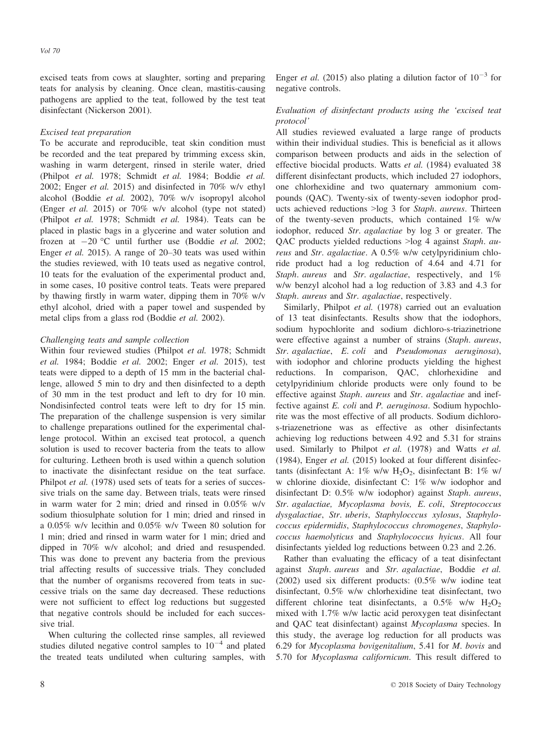excised teats from cows at slaughter, sorting and preparing teats for analysis by cleaning. Once clean, mastitis-causing pathogens are applied to the teat, followed by the test teat disinfectant (Nickerson 2001).

# Excised teat preparation

To be accurate and reproducible, teat skin condition must be recorded and the teat prepared by trimming excess skin, washing in warm detergent, rinsed in sterile water, dried (Philpot et al. 1978; Schmidt et al. 1984; Boddie et al. 2002; Enger et al. 2015) and disinfected in 70% w/v ethyl alcohol (Boddie et al. 2002), 70% w/v isopropyl alcohol (Enger et al. 2015) or 70% w/v alcohol (type not stated) (Philpot et al. 1978; Schmidt et al. 1984). Teats can be placed in plastic bags in a glycerine and water solution and frozen at  $-20$  °C until further use (Boddie *et al.* 2002; Enger et al. 2015). A range of 20–30 teats was used within the studies reviewed, with 10 teats used as negative control, 10 teats for the evaluation of the experimental product and, in some cases, 10 positive control teats. Teats were prepared by thawing firstly in warm water, dipping them in 70% w/v ethyl alcohol, dried with a paper towel and suspended by metal clips from a glass rod (Boddie et al. 2002).

# Challenging teats and sample collection

Within four reviewed studies (Philpot et al. 1978; Schmidt et al. 1984; Boddie et al. 2002; Enger et al. 2015), test teats were dipped to a depth of 15 mm in the bacterial challenge, allowed 5 min to dry and then disinfected to a depth of 30 mm in the test product and left to dry for 10 min. Nondisinfected control teats were left to dry for 15 min. The preparation of the challenge suspension is very similar to challenge preparations outlined for the experimental challenge protocol. Within an excised teat protocol, a quench solution is used to recover bacteria from the teats to allow for culturing. Letheen broth is used within a quench solution to inactivate the disinfectant residue on the teat surface. Philpot *et al.* (1978) used sets of teats for a series of successive trials on the same day. Between trials, teats were rinsed in warm water for 2 min; dried and rinsed in 0.05% w/v sodium thiosulphate solution for 1 min; dried and rinsed in a 0.05% w/v lecithin and 0.05% w/v Tween 80 solution for 1 min; dried and rinsed in warm water for 1 min; dried and dipped in 70% w/v alcohol; and dried and resuspended. This was done to prevent any bacteria from the previous trial affecting results of successive trials. They concluded that the number of organisms recovered from teats in successive trials on the same day decreased. These reductions were not sufficient to effect log reductions but suggested that negative controls should be included for each successive trial.

When culturing the collected rinse samples, all reviewed studies diluted negative control samples to  $10^{-4}$  and plated the treated teats undiluted when culturing samples, with Enger *et al.* (2015) also plating a dilution factor of  $10^{-3}$  for negative controls.

# Evaluation of disinfectant products using the 'excised teat protocol'

All studies reviewed evaluated a large range of products within their individual studies. This is beneficial as it allows comparison between products and aids in the selection of effective biocidal products. Watts et al. (1984) evaluated 38 different disinfectant products, which included 27 iodophors, one chlorhexidine and two quaternary ammonium compounds (QAC). Twenty-six of twenty-seven iodophor products achieved reductions >log 3 for Staph. aureus. Thirteen of the twenty-seven products, which contained 1% w/w iodophor, reduced Str. agalactiae by log 3 or greater. The QAC products yielded reductions >log 4 against Staph. aureus and Str. agalactiae. A 0.5% w/w cetylpyridinium chloride product had a log reduction of 4.64 and 4.71 for Staph. aureus and Str. agalactiae, respectively, and 1% w/w benzyl alcohol had a log reduction of 3.83 and 4.3 for Staph. aureus and Str. agalactiae, respectively.

Similarly, Philpot et al. (1978) carried out an evaluation of 13 teat disinfectants. Results show that the iodophors, sodium hypochlorite and sodium dichloro-s-triazinetrione were effective against a number of strains (Staph. aureus, Str. agalactiae, E. coli and Pseudomonas aeruginosa), with iodophor and chlorine products yielding the highest reductions. In comparison, QAC, chlorhexidine and cetylpyridinium chloride products were only found to be effective against Staph. aureus and Str. agalactiae and ineffective against E. coli and P. aeruginosa. Sodium hypochlorite was the most effective of all products. Sodium dichloros-triazenetrione was as effective as other disinfectants achieving log reductions between 4.92 and 5.31 for strains used. Similarly to Philpot et al. (1978) and Watts et al. (1984), Enger et al. (2015) looked at four different disinfectants (disinfectant A:  $1\%$  w/w  $H_2O_2$ , disinfectant B:  $1\%$  w/ w chlorine dioxide, disinfectant C: 1% w/w iodophor and disinfectant D: 0.5% w/w iodophor) against Staph. aureus, Str. agalactiae, Mycoplasma bovis, E. coli, Streptococcus dysgalactiae, Str. uberis, Staphylocccus xylosus, Staphylococcus epidermidis, Staphylococcus chromogenes, Staphylococcus haemolyticus and Staphylococcus hyicus. All four disinfectants yielded log reductions between 0.23 and 2.26.

Rather than evaluating the efficacy of a teat disinfectant against Staph. aureus and Str. agalactiae, Boddie et al. (2002) used six different products: (0.5% w/w iodine teat disinfectant, 0.5% w/w chlorhexidine teat disinfectant, two different chlorine teat disinfectants, a  $0.5\%$  w/w  $H_2O_2$ mixed with 1.7% w/w lactic acid peroxygen teat disinfectant and QAC teat disinfectant) against Mycoplasma species. In this study, the average log reduction for all products was 6.29 for Mycoplasma bovigenitalium, 5.41 for M. bovis and 5.70 for Mycoplasma californicum. This result differed to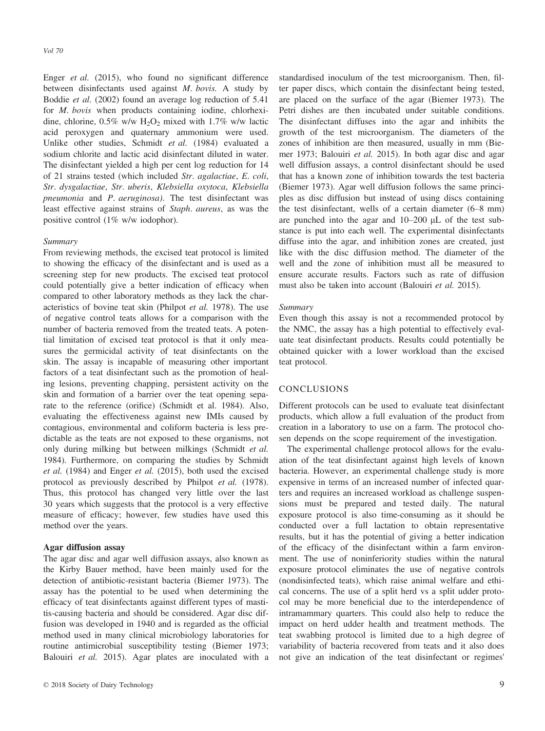Enger *et al.* (2015), who found no significant difference between disinfectants used against M. bovis. A study by Boddie et al. (2002) found an average log reduction of 5.41 for M. bovis when products containing iodine, chlorhexidine, chlorine,  $0.5\%$  w/w  $H_2O_2$  mixed with 1.7% w/w lactic acid peroxygen and quaternary ammonium were used. Unlike other studies, Schmidt et al. (1984) evaluated a sodium chlorite and lactic acid disinfectant diluted in water. The disinfectant yielded a high per cent log reduction for 14 of 21 strains tested (which included Str. agalactiae, E. coli, Str. dysgalactiae, Str. uberis, Klebsiella oxytoca, Klebsiella pneumonia and P. aeruginosa). The test disinfectant was least effective against strains of Staph. aureus, as was the positive control (1% w/w iodophor).

## Summary

From reviewing methods, the excised teat protocol is limited to showing the efficacy of the disinfectant and is used as a screening step for new products. The excised teat protocol could potentially give a better indication of efficacy when compared to other laboratory methods as they lack the characteristics of bovine teat skin (Philpot et al. 1978). The use of negative control teats allows for a comparison with the number of bacteria removed from the treated teats. A potential limitation of excised teat protocol is that it only measures the germicidal activity of teat disinfectants on the skin. The assay is incapable of measuring other important factors of a teat disinfectant such as the promotion of healing lesions, preventing chapping, persistent activity on the skin and formation of a barrier over the teat opening separate to the reference (orifice) (Schmidt et al. 1984). Also, evaluating the effectiveness against new IMIs caused by contagious, environmental and coliform bacteria is less predictable as the teats are not exposed to these organisms, not only during milking but between milkings (Schmidt et al. 1984). Furthermore, on comparing the studies by Schmidt et al. (1984) and Enger et al. (2015), both used the excised protocol as previously described by Philpot et al. (1978). Thus, this protocol has changed very little over the last 30 years which suggests that the protocol is a very effective measure of efficacy; however, few studies have used this method over the years.

## Agar diffusion assay

The agar disc and agar well diffusion assays, also known as the Kirby Bauer method, have been mainly used for the detection of antibiotic-resistant bacteria (Biemer 1973). The assay has the potential to be used when determining the efficacy of teat disinfectants against different types of mastitis-causing bacteria and should be considered. Agar disc diffusion was developed in 1940 and is regarded as the official method used in many clinical microbiology laboratories for routine antimicrobial susceptibility testing (Biemer 1973; Balouiri et al. 2015). Agar plates are inoculated with a standardised inoculum of the test microorganism. Then, filter paper discs, which contain the disinfectant being tested, are placed on the surface of the agar (Biemer 1973). The Petri dishes are then incubated under suitable conditions. The disinfectant diffuses into the agar and inhibits the growth of the test microorganism. The diameters of the zones of inhibition are then measured, usually in mm (Biemer 1973; Balouiri et al. 2015). In both agar disc and agar well diffusion assays, a control disinfectant should be used that has a known zone of inhibition towards the test bacteria (Biemer 1973). Agar well diffusion follows the same principles as disc diffusion but instead of using discs containing the test disinfectant, wells of a certain diameter (6–8 mm) are punched into the agar and  $10-200 \mu L$  of the test substance is put into each well. The experimental disinfectants diffuse into the agar, and inhibition zones are created, just like with the disc diffusion method. The diameter of the well and the zone of inhibition must all be measured to ensure accurate results. Factors such as rate of diffusion must also be taken into account (Balouiri et al. 2015).

## Summary

Even though this assay is not a recommended protocol by the NMC, the assay has a high potential to effectively evaluate teat disinfectant products. Results could potentially be obtained quicker with a lower workload than the excised teat protocol.

## CONCLUSIONS

Different protocols can be used to evaluate teat disinfectant products, which allow a full evaluation of the product from creation in a laboratory to use on a farm. The protocol chosen depends on the scope requirement of the investigation.

The experimental challenge protocol allows for the evaluation of the teat disinfectant against high levels of known bacteria. However, an experimental challenge study is more expensive in terms of an increased number of infected quarters and requires an increased workload as challenge suspensions must be prepared and tested daily. The natural exposure protocol is also time-consuming as it should be conducted over a full lactation to obtain representative results, but it has the potential of giving a better indication of the efficacy of the disinfectant within a farm environment. The use of noninferiority studies within the natural exposure protocol eliminates the use of negative controls (nondisinfected teats), which raise animal welfare and ethical concerns. The use of a split herd vs a split udder protocol may be more beneficial due to the interdependence of intramammary quarters. This could also help to reduce the impact on herd udder health and treatment methods. The teat swabbing protocol is limited due to a high degree of variability of bacteria recovered from teats and it also does not give an indication of the teat disinfectant or regimes'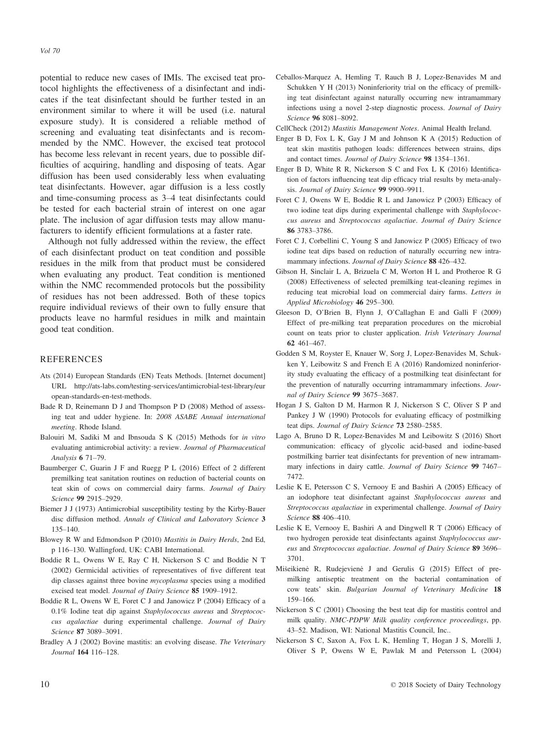potential to reduce new cases of IMIs. The excised teat protocol highlights the effectiveness of a disinfectant and indicates if the teat disinfectant should be further tested in an environment similar to where it will be used (i.e. natural exposure study). It is considered a reliable method of screening and evaluating teat disinfectants and is recommended by the NMC. However, the excised teat protocol has become less relevant in recent years, due to possible difficulties of acquiring, handling and disposing of teats. Agar diffusion has been used considerably less when evaluating teat disinfectants. However, agar diffusion is a less costly and time-consuming process as 3–4 teat disinfectants could be tested for each bacterial strain of interest on one agar plate. The inclusion of agar diffusion tests may allow manufacturers to identify efficient formulations at a faster rate.

Although not fully addressed within the review, the effect of each disinfectant product on teat condition and possible residues in the milk from that product must be considered when evaluating any product. Teat condition is mentioned within the NMC recommended protocols but the possibility of residues has not been addressed. Both of these topics require individual reviews of their own to fully ensure that products leave no harmful residues in milk and maintain good teat condition.

## REFERENCES

- Ats (2014) European Standards (EN) Teats Methods. [Internet document] URL [http://ats-labs.com/testing-services/antimicrobial-test-library/eur](http://ats-labs.com/testing-services/antimicrobial-test-library/european-standards-en-test-methods) [opean-standards-en-test-methods.](http://ats-labs.com/testing-services/antimicrobial-test-library/european-standards-en-test-methods)
- Bade R D, Reinemann D J and Thompson P D (2008) Method of assessing teat and udder hygiene. In: 2008 ASABE Annual international meeting. Rhode Island.
- Balouiri M, Sadiki M and Ibnsouda S K (2015) Methods for in vitro evaluating antimicrobial activity: a review. Journal of Pharmaceutical Analysis 6 71–79.
- Baumberger C, Guarin J F and Ruegg P L (2016) Effect of 2 different premilking teat sanitation routines on reduction of bacterial counts on teat skin of cows on commercial dairy farms. Journal of Dairy Science 99 2915–2929.
- Biemer J J (1973) Antimicrobial susceptibility testing by the Kirby-Bauer disc diffusion method. Annals of Clinical and Laboratory Science 3 135–140.
- Blowey R W and Edmondson P (2010) Mastitis in Dairy Herds, 2nd Ed, p 116–130. Wallingford, UK: CABI International.
- Boddie R L, Owens W E, Ray C H, Nickerson S C and Boddie N T (2002) Germicidal activities of representatives of five different teat dip classes against three bovine mycoplasma species using a modified excised teat model. Journal of Dairy Science 85 1909–1912.
- Boddie R L, Owens W E, Foret C J and Janowicz P (2004) Efficacy of a 0.1% Iodine teat dip against Staphylococcus aureus and Streptococcus agalactiae during experimental challenge. Journal of Dairy Science 87 3089–3091.
- Bradley A J (2002) Bovine mastitis: an evolving disease. The Veterinary Journal 164 116–128.

Ceballos-Marquez A, Hemling T, Rauch B J, Lopez-Benavides M and Schukken Y H (2013) Noninferiority trial on the efficacy of premilking teat disinfectant against naturally occurring new intramammary infections using a novel 2-step diagnostic process. Journal of Dairy Science 96 8081–8092.

CellCheck (2012) Mastitis Management Notes. Animal Health Ireland.

- Enger B D, Fox L K, Gay J M and Johnson K A (2015) Reduction of teat skin mastitis pathogen loads: differences between strains, dips and contact times. Journal of Dairy Science 98 1354–1361.
- Enger B D, White R R, Nickerson S C and Fox L K (2016) Identification of factors influencing teat dip efficacy trial results by meta-analysis. Journal of Dairy Science 99 9900-9911.
- Foret C J, Owens W E, Boddie R L and Janowicz P (2003) Efficacy of two iodine teat dips during experimental challenge with Staphylococcus aureus and Streptococcus agalactiae. Journal of Dairy Science 86 3783–3786.
- Foret C J, Corbellini C, Young S and Janowicz P (2005) Efficacy of two iodine teat dips based on reduction of naturally occurring new intramammary infections. Journal of Dairy Science 88 426-432.
- Gibson H, Sinclair L A, Brizuela C M, Worton H L and Protheroe R G (2008) Effectiveness of selected premilking teat-cleaning regimes in reducing teat microbial load on commercial dairy farms. Letters in Applied Microbiology 46 295–300.
- Gleeson D, O'Brien B, Flynn J, O'Callaghan E and Galli F (2009) Effect of pre-milking teat preparation procedures on the microbial count on teats prior to cluster application. Irish Veterinary Journal 62 461–467.
- Godden S M, Royster E, Knauer W, Sorg J, Lopez-Benavides M, Schukken Y, Leibowitz S and French E A (2016) Randomized noninferiority study evaluating the efficacy of a postmilking teat disinfectant for the prevention of naturally occurring intramammary infections. Journal of Dairy Science 99 3675–3687.
- Hogan J S, Galton D M, Harmon R J, Nickerson S C, Oliver S P and Pankey J W (1990) Protocols for evaluating efficacy of postmilking teat dips. Journal of Dairy Science 73 2580–2585.
- Lago A, Bruno D R, Lopez-Benavides M and Leibowitz S (2016) Short communication: efficacy of glycolic acid-based and iodine-based postmilking barrier teat disinfectants for prevention of new intramammary infections in dairy cattle. Journal of Dairy Science 99 7467– 7472.
- Leslie K E, Petersson C S, Vernooy E and Bashiri A (2005) Efficacy of an iodophore teat disinfectant against Staphylococcus aureus and Streptococcus agalactiae in experimental challenge. Journal of Dairy Science 88 406–410.
- Leslie K E, Vernooy E, Bashiri A and Dingwell R T (2006) Efficacy of two hydrogen peroxide teat disinfectants against Staphylococcus aureus and Streptococcus agalactiae. Journal of Dairy Science 89 3696– 3701.
- Mišeikienė R, Rudejevienė J and Gerulis G (2015) Effect of premilking antiseptic treatment on the bacterial contamination of cow teats' skin. Bulgarian Journal of Veterinary Medicine 18 159–166.
- Nickerson S C (2001) Choosing the best teat dip for mastitis control and milk quality. NMC-PDPW Milk quality conference proceedings, pp. 43–52. Madison, WI: National Mastitis Council, Inc..
- Nickerson S C, Saxon A, Fox L K, Hemling T, Hogan J S, Morelli J, Oliver S P, Owens W E, Pawlak M and Petersson L (2004)